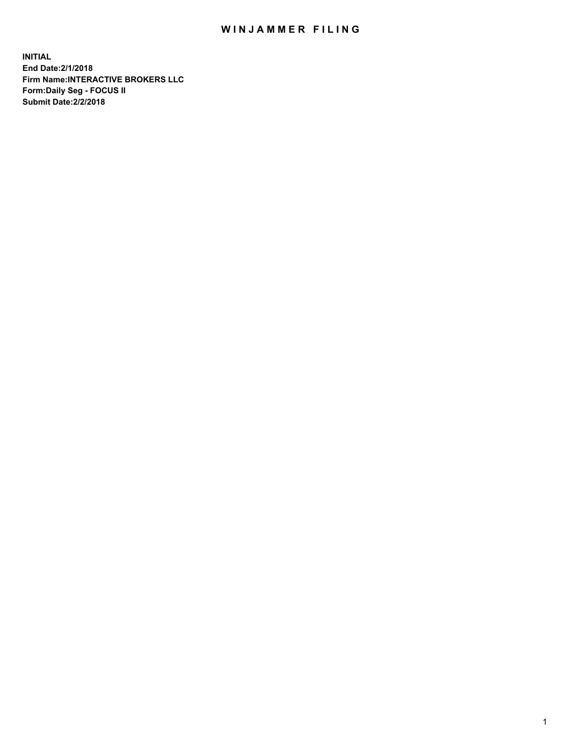## WIN JAMMER FILING

**INITIAL End Date:2/1/2018 Firm Name:INTERACTIVE BROKERS LLC Form:Daily Seg - FOCUS II Submit Date:2/2/2018**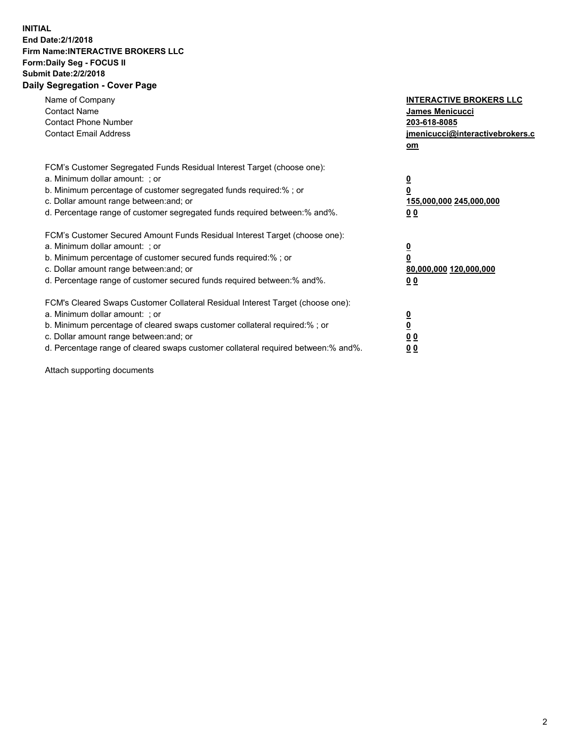## **INITIAL End Date:2/1/2018 Firm Name:INTERACTIVE BROKERS LLC Form:Daily Seg - FOCUS II Submit Date:2/2/2018 Daily Segregation - Cover Page**

| Name of Company<br><b>Contact Name</b><br><b>Contact Phone Number</b><br><b>Contact Email Address</b>                                                                                                                                                                                                                          | <b>INTERACTIVE BROKERS LLC</b><br>James Menicucci<br>203-618-8085<br>jmenicucci@interactivebrokers.c<br>om |
|--------------------------------------------------------------------------------------------------------------------------------------------------------------------------------------------------------------------------------------------------------------------------------------------------------------------------------|------------------------------------------------------------------------------------------------------------|
| FCM's Customer Segregated Funds Residual Interest Target (choose one):<br>a. Minimum dollar amount: ; or<br>b. Minimum percentage of customer segregated funds required:%; or<br>c. Dollar amount range between: and; or<br>d. Percentage range of customer segregated funds required between:% and%.                          | $\overline{\mathbf{0}}$<br>$\overline{\mathbf{0}}$<br>155,000,000 245,000,000<br>0 <sub>0</sub>            |
| FCM's Customer Secured Amount Funds Residual Interest Target (choose one):<br>a. Minimum dollar amount: ; or<br>b. Minimum percentage of customer secured funds required:%; or<br>c. Dollar amount range between: and; or<br>d. Percentage range of customer secured funds required between: % and %.                          | $\overline{\mathbf{0}}$<br>$\overline{\mathbf{0}}$<br>80,000,000 120,000,000<br>0 <sub>0</sub>             |
| FCM's Cleared Swaps Customer Collateral Residual Interest Target (choose one):<br>a. Minimum dollar amount: ; or<br>b. Minimum percentage of cleared swaps customer collateral required:% ; or<br>c. Dollar amount range between: and; or<br>d. Percentage range of cleared swaps customer collateral required between:% and%. | $\overline{\mathbf{0}}$<br>$\underline{\mathbf{0}}$<br>0 <sub>0</sub><br>0 <sup>0</sup>                    |

Attach supporting documents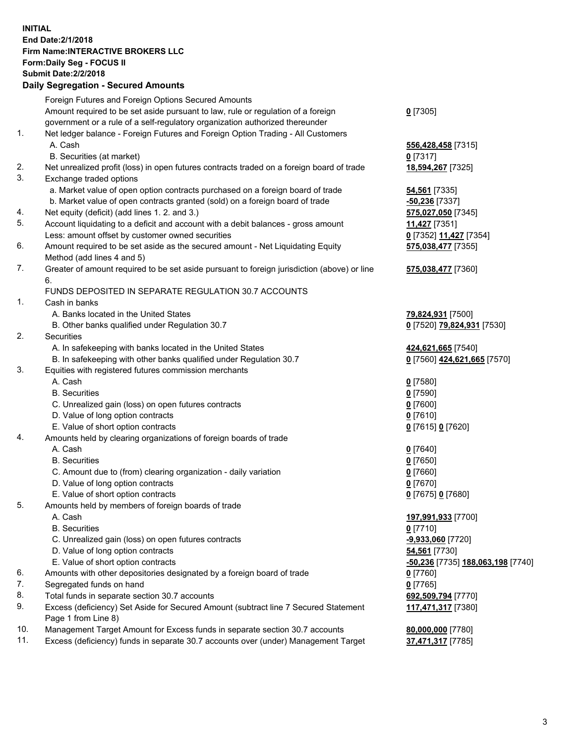## **INITIAL End Date:2/1/2018 Firm Name:INTERACTIVE BROKERS LLC Form:Daily Seg - FOCUS II Submit Date:2/2/2018 Daily Segregation - Secured Amounts**

|     | Dany Ocgregation - Oceanea Annoanta                                                         |                                                |
|-----|---------------------------------------------------------------------------------------------|------------------------------------------------|
|     | Foreign Futures and Foreign Options Secured Amounts                                         |                                                |
|     | Amount required to be set aside pursuant to law, rule or regulation of a foreign            | $0$ [7305]                                     |
|     | government or a rule of a self-regulatory organization authorized thereunder                |                                                |
| 1.  | Net ledger balance - Foreign Futures and Foreign Option Trading - All Customers             |                                                |
|     | A. Cash                                                                                     | 556,428,458 [7315]                             |
|     | B. Securities (at market)                                                                   | $0$ [7317]                                     |
| 2.  | Net unrealized profit (loss) in open futures contracts traded on a foreign board of trade   | 18,594,267 [7325]                              |
| 3.  | Exchange traded options                                                                     |                                                |
|     | a. Market value of open option contracts purchased on a foreign board of trade              | <b>54,561</b> [7335]                           |
|     | b. Market value of open contracts granted (sold) on a foreign board of trade                | $-50,236$ [7337]                               |
| 4.  | Net equity (deficit) (add lines 1.2. and 3.)                                                | 575,027,050 [7345]                             |
| 5.  | Account liquidating to a deficit and account with a debit balances - gross amount           | 11,427 [7351]                                  |
|     | Less: amount offset by customer owned securities                                            | 0 [7352] 11,427 [7354]                         |
| 6.  | Amount required to be set aside as the secured amount - Net Liquidating Equity              | 575,038,477 [7355]                             |
|     | Method (add lines 4 and 5)                                                                  |                                                |
| 7.  | Greater of amount required to be set aside pursuant to foreign jurisdiction (above) or line | 575,038,477 [7360]                             |
|     | 6.                                                                                          |                                                |
|     | FUNDS DEPOSITED IN SEPARATE REGULATION 30.7 ACCOUNTS                                        |                                                |
| 1.  | Cash in banks                                                                               |                                                |
|     | A. Banks located in the United States                                                       | 79,824,931 [7500]                              |
|     | B. Other banks qualified under Regulation 30.7                                              | 0 [7520] 79,824,931 [7530]                     |
| 2.  | Securities                                                                                  |                                                |
|     | A. In safekeeping with banks located in the United States                                   | 424,621,665 [7540]                             |
|     | B. In safekeeping with other banks qualified under Regulation 30.7                          | 0 [7560] 424,621,665 [7570]                    |
| 3.  | Equities with registered futures commission merchants                                       |                                                |
|     | A. Cash                                                                                     | $0$ [7580]                                     |
|     | <b>B.</b> Securities                                                                        | $0$ [7590]                                     |
|     | C. Unrealized gain (loss) on open futures contracts                                         | $0$ [7600]                                     |
|     | D. Value of long option contracts                                                           | $0$ [7610]                                     |
|     | E. Value of short option contracts                                                          | 0 [7615] 0 [7620]                              |
| 4.  | Amounts held by clearing organizations of foreign boards of trade                           |                                                |
|     | A. Cash                                                                                     | $0$ [7640]                                     |
|     | <b>B.</b> Securities                                                                        | $0$ [7650]                                     |
|     | C. Amount due to (from) clearing organization - daily variation                             | $0$ [7660]                                     |
|     | D. Value of long option contracts                                                           | $0$ [7670]                                     |
|     | E. Value of short option contracts                                                          | 0 [7675] 0 [7680]                              |
| 5.  | Amounts held by members of foreign boards of trade                                          |                                                |
|     | A. Cash                                                                                     | 197,991,933 [7700]                             |
|     | <b>B.</b> Securities                                                                        | $0$ [7710]                                     |
|     | C. Unrealized gain (loss) on open futures contracts                                         | -9,933,060 [7720]                              |
|     | D. Value of long option contracts                                                           | 54,561 [7730]                                  |
|     | E. Value of short option contracts                                                          | <mark>-50,236</mark> [7735] 188,063,198 [7740] |
| 6.  | Amounts with other depositories designated by a foreign board of trade                      | 0 [7760]                                       |
| 7.  | Segregated funds on hand                                                                    | $0$ [7765]                                     |
| 8.  | Total funds in separate section 30.7 accounts                                               | 692,509,794 [7770]                             |
| 9.  | Excess (deficiency) Set Aside for Secured Amount (subtract line 7 Secured Statement         | 117,471,317 [7380]                             |
|     | Page 1 from Line 8)                                                                         |                                                |
| 10. | Management Target Amount for Excess funds in separate section 30.7 accounts                 | 80,000,000 [7780]                              |
| 11. | Excess (deficiency) funds in separate 30.7 accounts over (under) Management Target          | 37,471,317 [7785]                              |
|     |                                                                                             |                                                |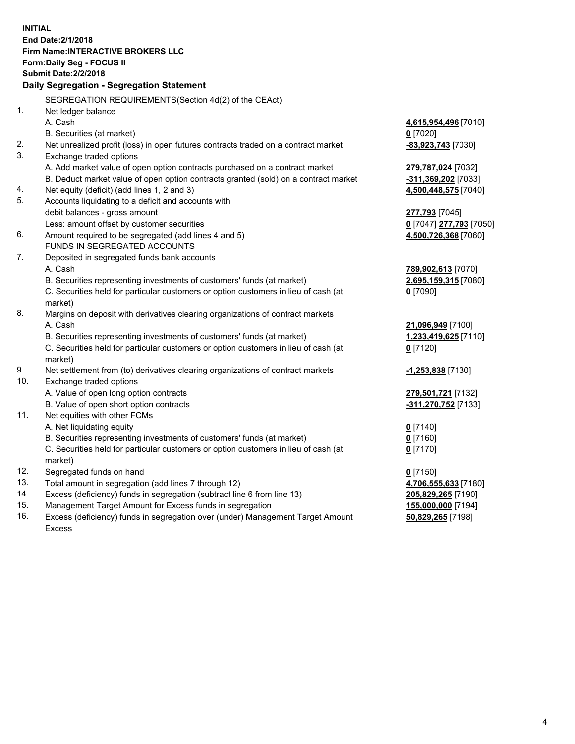**INITIAL End Date:2/1/2018 Firm Name:INTERACTIVE BROKERS LLC Form:Daily Seg - FOCUS II Submit Date:2/2/2018 Daily Segregation - Segregation Statement** SEGREGATION REQUIREMENTS(Section 4d(2) of the CEAct) 1. Net ledger balance A. Cash **4,615,954,496** [7010] B. Securities (at market) **0** [7020] 2. Net unrealized profit (loss) in open futures contracts traded on a contract market **-83,923,743** [7030] 3. Exchange traded options A. Add market value of open option contracts purchased on a contract market **279,787,024** [7032] B. Deduct market value of open option contracts granted (sold) on a contract market **-311,369,202** [7033] 4. Net equity (deficit) (add lines 1, 2 and 3) **4,500,448,575** [7040] 5. Accounts liquidating to a deficit and accounts with debit balances - gross amount **277,793** [7045] Less: amount offset by customer securities **0** [7047] **277,793** [7050] 6. Amount required to be segregated (add lines 4 and 5) **4,500,726,368** [7060] FUNDS IN SEGREGATED ACCOUNTS 7. Deposited in segregated funds bank accounts A. Cash **789,902,613** [7070] B. Securities representing investments of customers' funds (at market) **2,695,159,315** [7080] C. Securities held for particular customers or option customers in lieu of cash (at market) **0** [7090] 8. Margins on deposit with derivatives clearing organizations of contract markets A. Cash **21,096,949** [7100] B. Securities representing investments of customers' funds (at market) **1,233,419,625** [7110] C. Securities held for particular customers or option customers in lieu of cash (at market) **0** [7120] 9. Net settlement from (to) derivatives clearing organizations of contract markets **-1,253,838** [7130] 10. Exchange traded options A. Value of open long option contracts **279,501,721** [7132] B. Value of open short option contracts **-311,270,752** [7133] 11. Net equities with other FCMs A. Net liquidating equity **0** [7140] B. Securities representing investments of customers' funds (at market) **0** [7160] C. Securities held for particular customers or option customers in lieu of cash (at market) **0** [7170] 12. Segregated funds on hand **0** [7150] 13. Total amount in segregation (add lines 7 through 12) **4,706,555,633** [7180] 14. Excess (deficiency) funds in segregation (subtract line 6 from line 13) **205,829,265** [7190] 15. Management Target Amount for Excess funds in segregation **155,000,000** [7194] **50,829,265** [7198]

16. Excess (deficiency) funds in segregation over (under) Management Target Amount Excess